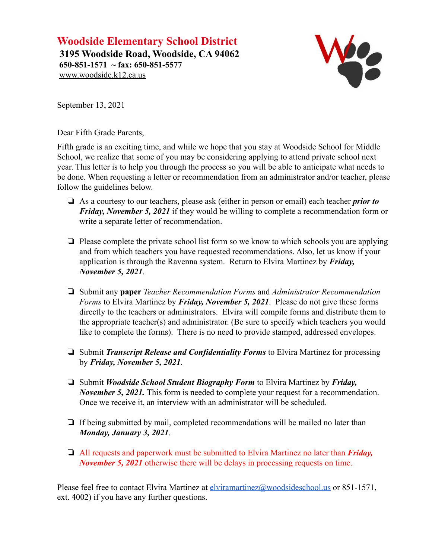**Woodside Elementary School District 3195 Woodside Road, Woodside, CA 94062 650-851-1571 ~ fax: 650-851-5577** [www.woodside.k12.ca.us](http://www.woodside.k12.ca.us)



September 13, 2021

Dear Fifth Grade Parents,

Fifth grade is an exciting time, and while we hope that you stay at Woodside School for Middle School, we realize that some of you may be considering applying to attend private school next year. This letter is to help you through the process so you will be able to anticipate what needs to be done. When requesting a letter or recommendation from an administrator and/or teacher, please follow the guidelines below.

- ❏ As a courtesy to our teachers, please ask (either in person or email) each teacher *prior to Friday, November 5, 2021* if they would be willing to complete a recommendation form or write a separate letter of recommendation.
- ❏ Please complete the private school list form so we know to which schools you are applying and from which teachers you have requested recommendations. Also, let us know if your application is through the Ravenna system. Return to Elvira Martinez by *Friday, November 5, 2021*.
- ❏ Submit any **paper** *Teacher Recommendation Forms* and *Administrator Recommendation Forms* to Elvira Martinez by *Friday, November 5, 2021*. Please do not give these forms directly to the teachers or administrators. Elvira will compile forms and distribute them to the appropriate teacher(s) and administrator. (Be sure to specify which teachers you would like to complete the forms). There is no need to provide stamped, addressed envelopes.
- ❏ Submit *Transcript Release and Confidentiality Forms* to Elvira Martinez for processing by *Friday, November 5, 2021*.
- ❏ Submit *Woodside School Student Biography Form* to Elvira Martinez by *Friday, November 5, 2021.* This form is needed to complete your request for a recommendation. Once we receive it, an interview with an administrator will be scheduled.
- ❏ If being submitted by mail, completed recommendations will be mailed no later than *Monday, January 3, 2021*.
- ❏ All requests and paperwork must be submitted to Elvira Martinez no later than *Friday, November 5, 2021* otherwise there will be delays in processing requests on time.

Please feel free to contact Elvira Martinez at [elviramartinez@woodsideschool.us](mailto:elviramartinez@woodsideschool.us) or 851-1571, ext. 4002) if you have any further questions.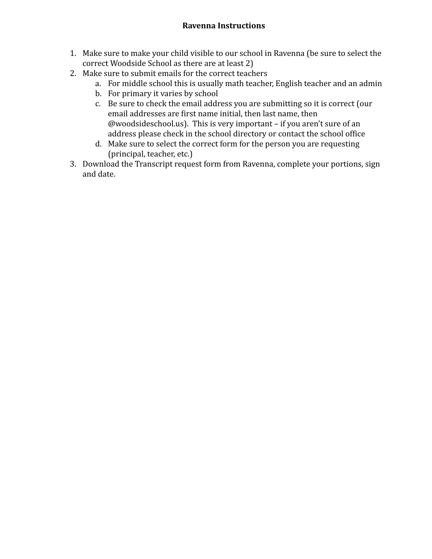## **Ravenna Instructions**

- 1. Make sure to make your child visible to our school in Ravenna (be sure to select the correct Woodside School as there are at least 2)
- 2. Make sure to submit emails for the correct teachers
	- a. For middle school this is usually math teacher, English teacher and an admin
	- b. For primary it varies by school
	- c. Be sure to check the email address you are submitting so it is correct (our email addresses are first name initial, then last name, then @woodsideschool.us). This is very important – if you aren't sure of an address please check in the school directory or contact the school office
	- d. Make sure to select the correct form for the person you are requesting (principal, teacher, etc.)
- 3. Download the Transcript request form from Ravenna, complete your portions, sign and date.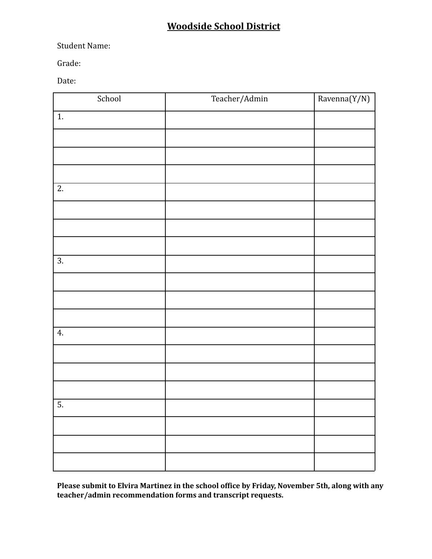## **Woodside School District**

Student Name:

Grade:

Date:

| School           | Teacher/Admin | $\overline{\text{Ravenna}(Y/N)}$ |
|------------------|---------------|----------------------------------|
| $\overline{1}$ . |               |                                  |
|                  |               |                                  |
|                  |               |                                  |
|                  |               |                                  |
| $\overline{2}$ . |               |                                  |
|                  |               |                                  |
|                  |               |                                  |
|                  |               |                                  |
| $\overline{3}$ . |               |                                  |
|                  |               |                                  |
|                  |               |                                  |
|                  |               |                                  |
| $\overline{4}$ . |               |                                  |
|                  |               |                                  |
|                  |               |                                  |
|                  |               |                                  |
| $\overline{5}$ . |               |                                  |
|                  |               |                                  |
|                  |               |                                  |
|                  |               |                                  |

**Please submit to Elvira Martinez in the school office by Friday, November 5th, along with any teacher/admin recommendation forms and transcript requests.**